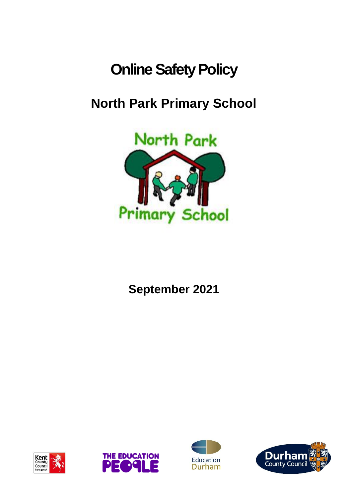# **Online Safety Policy**

# **North Park Primary School**



**September 2021**







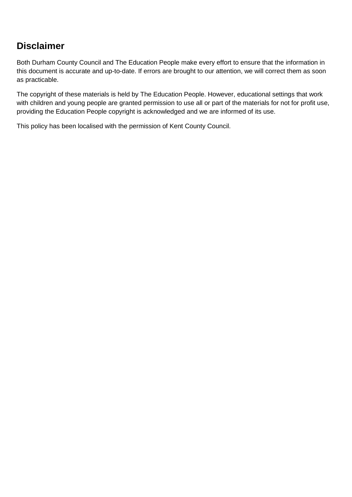### **Disclaimer**

Both Durham County Council and The Education People make every effort to ensure that the information in this document is accurate and up-to-date. If errors are brought to our attention, we will correct them as soon as practicable.

The copyright of these materials is held by The Education People. However, educational settings that work with children and young people are granted permission to use all or part of the materials for not for profit use, providing the Education People copyright is acknowledged and we are informed of its use.

This policy has been localised with the permission of Kent County Council.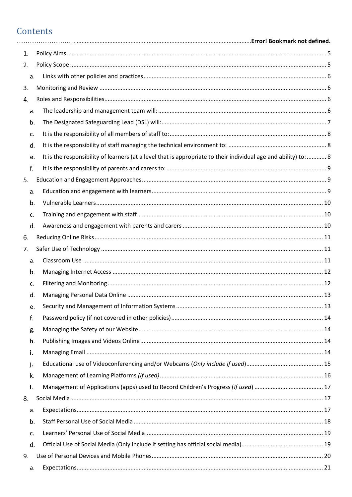### Contents

| 1. |                                                                                                                  |  |
|----|------------------------------------------------------------------------------------------------------------------|--|
| 2. |                                                                                                                  |  |
| a. |                                                                                                                  |  |
| 3. |                                                                                                                  |  |
| 4. |                                                                                                                  |  |
| a. |                                                                                                                  |  |
| b. |                                                                                                                  |  |
| c. |                                                                                                                  |  |
| d. |                                                                                                                  |  |
| e. | It is the responsibility of learners (at a level that is appropriate to their individual age and ability) to:  8 |  |
| f. |                                                                                                                  |  |
| 5. |                                                                                                                  |  |
| a. |                                                                                                                  |  |
| b. |                                                                                                                  |  |
| c. |                                                                                                                  |  |
| d. |                                                                                                                  |  |
| 6. |                                                                                                                  |  |
| 7. |                                                                                                                  |  |
| a. |                                                                                                                  |  |
| b. |                                                                                                                  |  |
| c. |                                                                                                                  |  |
| d. |                                                                                                                  |  |
| e. |                                                                                                                  |  |
| f. |                                                                                                                  |  |
| g. |                                                                                                                  |  |
| h. |                                                                                                                  |  |
| i. |                                                                                                                  |  |
| j. |                                                                                                                  |  |
| k. |                                                                                                                  |  |
| I. |                                                                                                                  |  |
| 8. |                                                                                                                  |  |
| a. |                                                                                                                  |  |
| b. |                                                                                                                  |  |
| c. |                                                                                                                  |  |
| d. |                                                                                                                  |  |
| 9. |                                                                                                                  |  |
| a. |                                                                                                                  |  |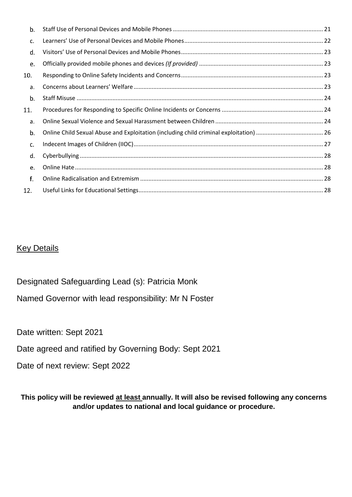| b.  |  |
|-----|--|
| c.  |  |
| d.  |  |
| e.  |  |
| 10. |  |
| a.  |  |
| b.  |  |
| 11. |  |
| a.  |  |
| b.  |  |
| c.  |  |
| d.  |  |
| e.  |  |
| f.  |  |
| 12. |  |

#### Key Details

Designated Safeguarding Lead (s): Patricia Monk

Named Governor with lead responsibility: Mr N Foster

Date written: Sept 2021

Date agreed and ratified by Governing Body: Sept 2021

Date of next review: Sept 2022

**This policy will be reviewed at least annually. It will also be revised following any concerns and/or updates to national and local guidance or procedure.**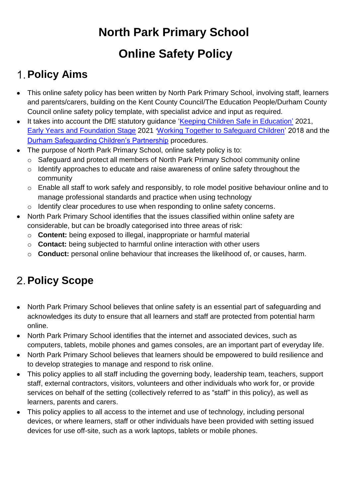# **North Park Primary School Online Safety Policy**

# <span id="page-4-0"></span>**Policy Aims**

- This online safety policy has been written by North Park Primary School, involving staff, learners and parents/carers, building on the Kent County Council/The Education People/Durham County Council online safety policy template, with specialist advice and input as required.
- It takes into account the DfE statutory quidance ['Keeping Children Safe in Education'](https://www.gov.uk/government/publications/keeping-children-safe-in-education--2) 2021, [Early Years and Foundation Stage](https://www.gov.uk/government/publications/early-years-foundation-stage-framework--2) 2021 '[Working Together to Safeguard Children'](https://www.gov.uk/government/publications/working-together-to-safeguard-children--2) 2018 and the [Durham Safeguarding Children's Partnership](http://www.durham-scp.org.uk/whats-new/) procedures.
- The purpose of North Park Primary School, online safety policy is to:
	- o Safeguard and protect all members of North Park Primary School community online
	- o Identify approaches to educate and raise awareness of online safety throughout the community
	- o Enable all staff to work safely and responsibly, to role model positive behaviour online and to manage professional standards and practice when using technology
	- o Identify clear procedures to use when responding to online safety concerns.
- North Park Primary School identifies that the issues classified within online safety are considerable, but can be broadly categorised into three areas of risk:
	- o **Content:** being exposed to illegal, inappropriate or harmful material
	- o **Contact:** being subjected to harmful online interaction with other users
	- o **Conduct:** personal online behaviour that increases the likelihood of, or causes, harm.

# <span id="page-4-1"></span>**Policy Scope**

- North Park Primary School believes that online safety is an essential part of safeguarding and acknowledges its duty to ensure that all learners and staff are protected from potential harm online.
- North Park Primary School identifies that the internet and associated devices, such as computers, tablets, mobile phones and games consoles, are an important part of everyday life.
- North Park Primary School believes that learners should be empowered to build resilience and to develop strategies to manage and respond to risk online.
- This policy applies to all staff including the governing body, leadership team, teachers, support staff, external contractors, visitors, volunteers and other individuals who work for, or provide services on behalf of the setting (collectively referred to as "staff" in this policy), as well as learners, parents and carers.
- This policy applies to all access to the internet and use of technology, including personal devices, or where learners, staff or other individuals have been provided with setting issued devices for use off-site, such as a work laptops, tablets or mobile phones.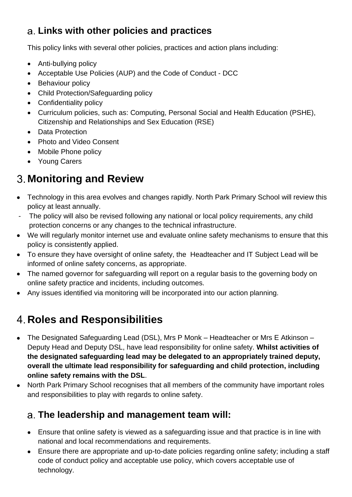## <span id="page-5-0"></span>**Links with other policies and practices**

This policy links with several other policies, practices and action plans including:

- Anti-bullying policy
- Acceptable Use Policies (AUP) and the Code of Conduct DCC
- Behaviour policy
- Child Protection/Safeguarding policy
- Confidentiality policy
- Curriculum policies, such as: Computing, Personal Social and Health Education (PSHE), Citizenship and Relationships and Sex Education (RSE)
- Data Protection
- Photo and Video Consent
- Mobile Phone policy
- Young Carers

# <span id="page-5-1"></span>**Monitoring and Review**

- Technology in this area evolves and changes rapidly. North Park Primary School will review this policy at least annually.
- The policy will also be revised following any national or local policy requirements, any child protection concerns or any changes to the technical infrastructure.
- We will regularly monitor internet use and evaluate online safety mechanisms to ensure that this policy is consistently applied.
- To ensure they have oversight of online safety, the Headteacher and IT Subject Lead will be informed of online safety concerns, as appropriate.
- The named governor for safeguarding will report on a regular basis to the governing body on online safety practice and incidents, including outcomes.
- Any issues identified via monitoring will be incorporated into our action planning.

# <span id="page-5-2"></span>**Roles and Responsibilities**

- The Designated Safeguarding Lead (DSL), Mrs P Monk Headteacher or Mrs E Atkinson Deputy Head and Deputy DSL, have lead responsibility for online safety. **Whilst activities of the designated safeguarding lead may be delegated to an appropriately trained deputy, overall the ultimate lead responsibility for safeguarding and child protection, including online safety remains with the DSL**.
- North Park Primary School recognises that all members of the community have important roles and responsibilities to play with regards to online safety.

## <span id="page-5-3"></span>**The leadership and management team will:**

- Ensure that online safety is viewed as a safeguarding issue and that practice is in line with national and local recommendations and requirements.
- Ensure there are appropriate and up-to-date policies regarding online safety; including a staff code of conduct policy and acceptable use policy, which covers acceptable use of technology.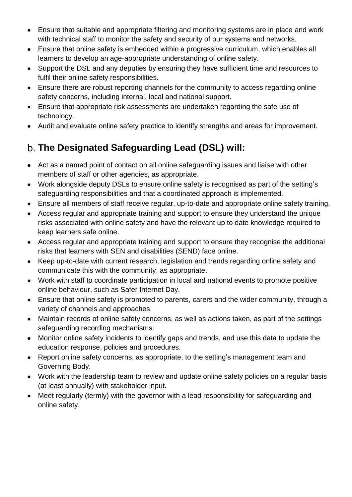- Ensure that suitable and appropriate filtering and monitoring systems are in place and work with technical staff to monitor the safety and security of our systems and networks.
- Ensure that online safety is embedded within a progressive curriculum, which enables all learners to develop an age-appropriate understanding of online safety.
- Support the DSL and any deputies by ensuring they have sufficient time and resources to fulfil their online safety responsibilities.
- Ensure there are robust reporting channels for the community to access regarding online safety concerns, including internal, local and national support.
- Ensure that appropriate risk assessments are undertaken regarding the safe use of technology.
- Audit and evaluate online safety practice to identify strengths and areas for improvement.

## <span id="page-6-0"></span>**The Designated Safeguarding Lead (DSL) will:**

- Act as a named point of contact on all online safeguarding issues and liaise with other members of staff or other agencies, as appropriate.
- Work alongside deputy DSLs to ensure online safety is recognised as part of the setting's safeguarding responsibilities and that a coordinated approach is implemented.
- Ensure all members of staff receive regular, up-to-date and appropriate online safety training.
- Access regular and appropriate training and support to ensure they understand the unique risks associated with online safety and have the relevant up to date knowledge required to keep learners safe online.
- Access regular and appropriate training and support to ensure they recognise the additional risks that learners with SEN and disabilities (SEND) face online.
- Keep up-to-date with current research, legislation and trends regarding online safety and communicate this with the community, as appropriate.
- Work with staff to coordinate participation in local and national events to promote positive online behaviour, such as Safer Internet Day.
- Ensure that online safety is promoted to parents, carers and the wider community, through a variety of channels and approaches.
- Maintain records of online safety concerns, as well as actions taken, as part of the settings safeguarding recording mechanisms.
- Monitor online safety incidents to identify gaps and trends, and use this data to update the education response, policies and procedures.
- Report online safety concerns, as appropriate, to the setting's management team and Governing Body.
- Work with the leadership team to review and update online safety policies on a regular basis (at least annually) with stakeholder input.
- Meet regularly (termly) with the governor with a lead responsibility for safeguarding and online safety.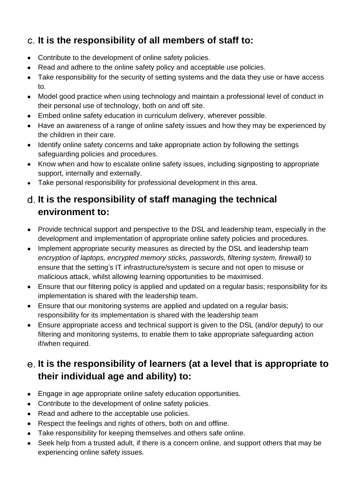## <span id="page-7-0"></span>**It is the responsibility of all members of staff to:**

- Contribute to the development of online safety policies.
- Read and adhere to the online safety policy and acceptable use policies.
- Take responsibility for the security of setting systems and the data they use or have access to.
- Model good practice when using technology and maintain a professional level of conduct in their personal use of technology, both on and off site.
- Embed online safety education in curriculum delivery, wherever possible.
- Have an awareness of a range of online safety issues and how they may be experienced by the children in their care.
- Identify online safety concerns and take appropriate action by following the settings safeguarding policies and procedures.
- Know when and how to escalate online safety issues, including signposting to appropriate support, internally and externally.
- Take personal responsibility for professional development in this area.

#### <span id="page-7-1"></span>**It is the responsibility of staff managing the technical environment to:**

- Provide technical support and perspective to the DSL and leadership team, especially in the development and implementation of appropriate online safety policies and procedures.
- Implement appropriate security measures as directed by the DSL and leadership team *encryption of laptops, encrypted memory sticks, passwords, filtering system, firewall)* to ensure that the setting's IT infrastructure/system is secure and not open to misuse or malicious attack, whilst allowing learning opportunities to be maximised.
- Ensure that our filtering policy is applied and updated on a regular basis; responsibility for its implementation is shared with the leadership team.
- Ensure that our monitoring systems are applied and updated on a regular basis; responsibility for its implementation is shared with the leadership team
- Ensure appropriate access and technical support is given to the DSL (and/or deputy) to our filtering and monitoring systems, to enable them to take appropriate safeguarding action if/when required.

### <span id="page-7-2"></span>**It is the responsibility of learners (at a level that is appropriate to their individual age and ability) to:**

- Engage in age appropriate online safety education opportunities.
- Contribute to the development of online safety policies.
- Read and adhere to the acceptable use policies.
- Respect the feelings and rights of others, both on and offline.
- Take responsibility for keeping themselves and others safe online.
- Seek help from a trusted adult, if there is a concern online, and support others that may be experiencing online safety issues.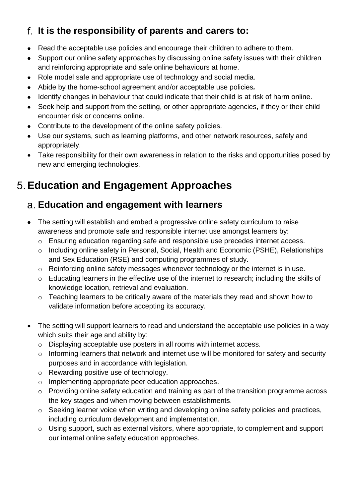## <span id="page-8-0"></span>**It is the responsibility of parents and carers to:**

- Read the acceptable use policies and encourage their children to adhere to them.
- Support our online safety approaches by discussing online safety issues with their children and reinforcing appropriate and safe online behaviours at home.
- Role model safe and appropriate use of technology and social media.
- Abide by the home-school agreement and/or acceptable use policies*.*
- Identify changes in behaviour that could indicate that their child is at risk of harm online.
- Seek help and support from the setting, or other appropriate agencies, if they or their child encounter risk or concerns online.
- Contribute to the development of the online safety policies.
- Use our systems, such as learning platforms, and other network resources, safely and appropriately.
- Take responsibility for their own awareness in relation to the risks and opportunities posed by new and emerging technologies.

## <span id="page-8-1"></span>**Education and Engagement Approaches**

#### <span id="page-8-2"></span>**Education and engagement with learners**

- The setting will establish and embed a progressive online safety curriculum to raise awareness and promote safe and responsible internet use amongst learners by:
	- o Ensuring education regarding safe and responsible use precedes internet access.
	- o Including online safety in Personal, Social, Health and Economic (PSHE), Relationships and Sex Education (RSE) and computing programmes of study.
	- o Reinforcing online safety messages whenever technology or the internet is in use.
	- o Educating learners in the effective use of the internet to research; including the skills of knowledge location, retrieval and evaluation.
	- o Teaching learners to be critically aware of the materials they read and shown how to validate information before accepting its accuracy.
- The setting will support learners to read and understand the acceptable use policies in a way which suits their age and ability by:
	- o Displaying acceptable use posters in all rooms with internet access.
	- o Informing learners that network and internet use will be monitored for safety and security purposes and in accordance with legislation.
	- o Rewarding positive use of technology.
	- o Implementing appropriate peer education approaches.
	- o Providing online safety education and training as part of the transition programme across the key stages and when moving between establishments.
	- o Seeking learner voice when writing and developing online safety policies and practices, including curriculum development and implementation.
	- o Using support, such as external visitors, where appropriate, to complement and support our internal online safety education approaches.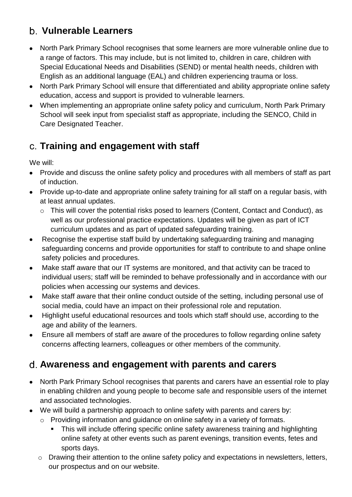#### <span id="page-9-0"></span>**Vulnerable Learners**

- North Park Primary School recognises that some learners are more vulnerable online due to a range of factors. This may include, but is not limited to, children in care, children with Special Educational Needs and Disabilities (SEND) or mental health needs, children with English as an additional language (EAL) and children experiencing trauma or loss.
- North Park Primary School will ensure that differentiated and ability appropriate online safety education, access and support is provided to vulnerable learners.
- When implementing an appropriate online safety policy and curriculum, North Park Primary School will seek input from specialist staff as appropriate, including the SENCO, Child in Care Designated Teacher.

#### <span id="page-9-1"></span>**Training and engagement with staff**

We will:

- Provide and discuss the online safety policy and procedures with all members of staff as part of induction.
- Provide up-to-date and appropriate online safety training for all staff on a regular basis, with at least annual updates.
	- o This will cover the potential risks posed to learners (Content, Contact and Conduct), as well as our professional practice expectations. Updates will be given as part of ICT curriculum updates and as part of updated safeguarding training.
- Recognise the expertise staff build by undertaking safeguarding training and managing safeguarding concerns and provide opportunities for staff to contribute to and shape online safety policies and procedures.
- Make staff aware that our IT systems are monitored, and that activity can be traced to individual users; staff will be reminded to behave professionally and in accordance with our policies when accessing our systems and devices.
- Make staff aware that their online conduct outside of the setting, including personal use of social media, could have an impact on their professional role and reputation.
- Highlight useful educational resources and tools which staff should use, according to the age and ability of the learners.
- Ensure all members of staff are aware of the procedures to follow regarding online safety concerns affecting learners, colleagues or other members of the community.

#### <span id="page-9-2"></span>**Awareness and engagement with parents and carers**

- North Park Primary School recognises that parents and carers have an essential role to play in enabling children and young people to become safe and responsible users of the internet and associated technologies.
- We will build a partnership approach to online safety with parents and carers by:
	- o Providing information and guidance on online safety in a variety of formats.
		- This will include offering specific online safety awareness training and highlighting online safety at other events such as parent evenings, transition events, fetes and sports days.
	- o Drawing their attention to the online safety policy and expectations in newsletters, letters, our prospectus and on our website.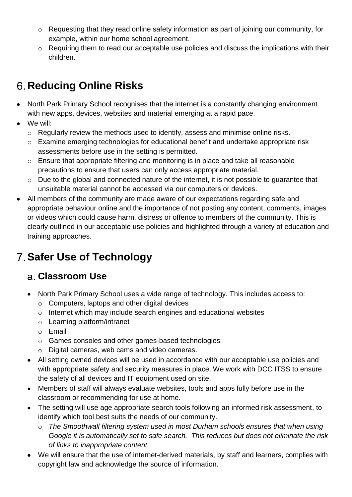- o Requesting that they read online safety information as part of joining our community, for example, within our home school agreement.
- o Requiring them to read our acceptable use policies and discuss the implications with their children.

# <span id="page-10-0"></span>**Reducing Online Risks**

- North Park Primary School recognises that the internet is a constantly changing environment with new apps, devices, websites and material emerging at a rapid pace.
- We will:
	- o Regularly review the methods used to identify, assess and minimise online risks.
	- o Examine emerging technologies for educational benefit and undertake appropriate risk assessments before use in the setting is permitted.
	- o Ensure that appropriate filtering and monitoring is in place and take all reasonable precautions to ensure that users can only access appropriate material.
	- o Due to the global and connected nature of the internet, it is not possible to guarantee that unsuitable material cannot be accessed via our computers or devices.
- All members of the community are made aware of our expectations regarding safe and appropriate behaviour online and the importance of not posting any content, comments, images or videos which could cause harm, distress or offence to members of the community. This is clearly outlined in our acceptable use policies and highlighted through a variety of education and training approaches.

# <span id="page-10-1"></span>**Safer Use of Technology**

#### <span id="page-10-2"></span>**Classroom Use**

- North Park Primary School uses a wide range of technology. This includes access to:
	- o Computers, laptops and other digital devices
	- o Internet which may include search engines and educational websites
	- o Learning platform/intranet
	- o Email
	- o Games consoles and other games-based technologies
	- o Digital cameras, web cams and video cameras.
- All setting owned devices will be used in accordance with our acceptable use policies and with appropriate safety and security measures in place. We work with DCC ITSS to ensure the safety of all devices and IT equipment used on site.
- Members of staff will always evaluate websites, tools and apps fully before use in the classroom or recommending for use at home.
- The setting will use age appropriate search tools following an informed risk assessment, to identify which tool best suits the needs of our community.
	- o *The Smoothwall filtering system used in most Durham schools ensures that when using Google it is automatically set to safe search. This reduces but does not eliminate the risk of links to inappropriate content.*
- We will ensure that the use of internet-derived materials, by staff and learners, complies with copyright law and acknowledge the source of information.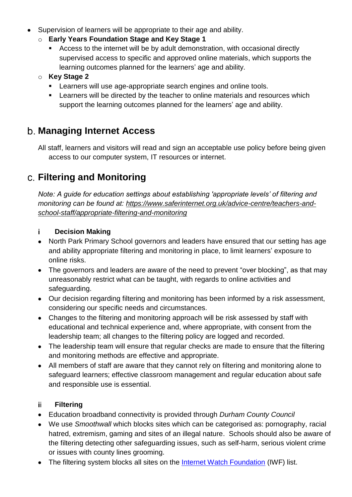- Supervision of learners will be appropriate to their age and ability.
	- o **Early Years Foundation Stage and Key Stage 1**
		- Access to the internet will be by adult demonstration, with occasional directly supervised access to specific and approved online materials, which supports the learning outcomes planned for the learners' age and ability.
	- o **Key Stage 2** 
		- **EXECT** Learners will use age-appropriate search engines and online tools.
		- Learners will be directed by the teacher to online materials and resources which support the learning outcomes planned for the learners' age and ability.

#### <span id="page-11-0"></span>**Managing Internet Access**

All staff, learners and visitors will read and sign an acceptable use policy before being given access to our computer system, IT resources or internet.

#### <span id="page-11-1"></span>**Filtering and Monitoring**

*Note: A guide for education settings about establishing 'appropriate levels' of filtering and monitoring can be found at: [https://www.saferinternet.org.uk/advice-centre/teachers-and](https://www.saferinternet.org.uk/advice-centre/teachers-and-school-staff/appropriate-filtering-and-monitoring)[school-staff/appropriate-filtering-and-monitoring](https://www.saferinternet.org.uk/advice-centre/teachers-and-school-staff/appropriate-filtering-and-monitoring)*

#### i. **Decision Making**

- North Park Primary School governors and leaders have ensured that our setting has age and ability appropriate filtering and monitoring in place, to limit learners' exposure to online risks.
- The governors and leaders are aware of the need to prevent "over blocking", as that may unreasonably restrict what can be taught, with regards to online activities and safeguarding.
- Our decision regarding filtering and monitoring has been informed by a risk assessment, considering our specific needs and circumstances.
- Changes to the filtering and monitoring approach will be risk assessed by staff with educational and technical experience and, where appropriate, with consent from the leadership team; all changes to the filtering policy are logged and recorded.
- The leadership team will ensure that regular checks are made to ensure that the filtering and monitoring methods are effective and appropriate.
- All members of staff are aware that they cannot rely on filtering and monitoring alone to safeguard learners; effective classroom management and regular education about safe and responsible use is essential.

#### ii l **Filtering**

- Education broadband connectivity is provided through *Durham County Council*
- We use *Smoothwall* which blocks sites which can be categorised as: pornography, racial hatred, extremism, gaming and sites of an illegal nature. Schools should also be aware of the filtering detecting other safeguarding issues, such as self-harm, serious violent crime or issues with county lines grooming.
- The filtering system blocks all sites on the **Internet Watch Foundation** (IWF) list.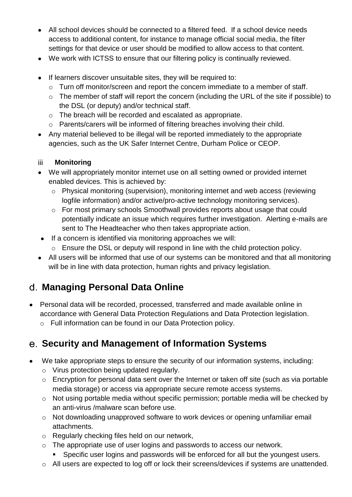- All school devices should be connected to a filtered feed. If a school device needs access to additional content, for instance to manage official social media, the filter settings for that device or user should be modified to allow access to that content.
- We work with ICTSS to ensure that our filtering policy is continually reviewed.
- If learners discover unsuitable sites, they will be required to:
	- o Turn off monitor/screen and report the concern immediate to a member of staff.
	- o The member of staff will report the concern (including the URL of the site if possible) to the DSL (or deputy) and/or technical staff.
	- o The breach will be recorded and escalated as appropriate.
	- o Parents/carers will be informed of filtering breaches involving their child.
- Any material believed to be illegal will be reported immediately to the appropriate agencies, such as the UK Safer Internet Centre, Durham Police or CEOP.

#### iii. **Monitoring**

- We will appropriately monitor internet use on all setting owned or provided internet enabled devices. This is achieved by:
	- o Physical monitoring (supervision), monitoring internet and web access (reviewing logfile information) and/or active/pro-active technology monitoring services).
	- o For most primary schools Smoothwall provides reports about usage that could potentially indicate an issue which requires further investigation. Alerting e-mails are sent to The Headteacher who then takes appropriate action.
- If a concern is identified via monitoring approaches we will:
	- o Ensure the DSL or deputy will respond in line with the child protection policy.
- All users will be informed that use of our systems can be monitored and that all monitoring will be in line with data protection, human rights and privacy legislation.

### <span id="page-12-0"></span>**Managing Personal Data Online**

- Personal data will be recorded, processed, transferred and made available online in accordance with General Data Protection Regulations and Data Protection legislation.
	- o Full information can be found in our Data Protection policy.

#### <span id="page-12-1"></span>**Security and Management of Information Systems**

- We take appropriate steps to ensure the security of our information systems, including:
	- o Virus protection being updated regularly.
	- o Encryption for personal data sent over the Internet or taken off site (such as via portable media storage) or access via appropriate secure remote access systems.
	- o Not using portable media without specific permission; portable media will be checked by an anti-virus /malware scan before use.
	- o Not downloading unapproved software to work devices or opening unfamiliar email attachments.
	- o Regularly checking files held on our network,
	- o The appropriate use of user logins and passwords to access our network.
		- Specific user logins and passwords will be enforced for all but the youngest users.
	- o All users are expected to log off or lock their screens/devices if systems are unattended.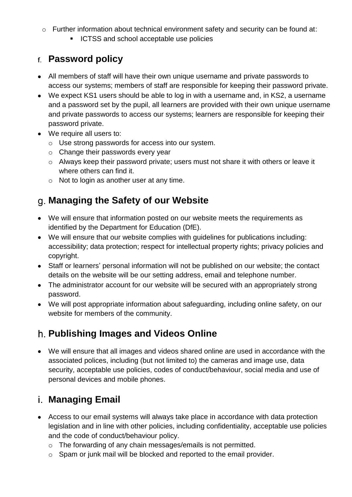- o Further information about technical environment safety and security can be found at:
	- ICTSS and school acceptable use policies

#### <span id="page-13-0"></span>**Password policy**

- All members of staff will have their own unique username and private passwords to access our systems; members of staff are responsible for keeping their password private.
- We expect KS1 users should be able to log in with a username and, in KS2, a username and a password set by the pupil, all learners are provided with their own unique username and private passwords to access our systems; learners are responsible for keeping their password private.
- We require all users to:
	- o Use strong passwords for access into our system.
	- o Change their passwords every year
	- o Always keep their password private; users must not share it with others or leave it where others can find it.
	- $\circ$  Not to login as another user at any time.

### <span id="page-13-1"></span>**Managing the Safety of our Website**

- We will ensure that information posted on our website meets the requirements as identified by the Department for Education (DfE).
- We will ensure that our website complies with guidelines for publications including: accessibility; data protection; respect for intellectual property rights; privacy policies and copyright.
- Staff or learners' personal information will not be published on our website; the contact details on the website will be our setting address, email and telephone number.
- The administrator account for our website will be secured with an appropriately strong password.
- We will post appropriate information about safeguarding, including online safety, on our website for members of the community.

## <span id="page-13-2"></span>**Publishing Images and Videos Online**

• We will ensure that all images and videos shared online are used in accordance with the associated polices, including (but not limited to) the cameras and image use, data security, acceptable use policies, codes of conduct/behaviour, social media and use of personal devices and mobile phones.

### <span id="page-13-3"></span>**Managing Email**

- Access to our email systems will always take place in accordance with data protection legislation and in line with other policies, including confidentiality, acceptable use policies and the code of conduct/behaviour policy.
	- o The forwarding of any chain messages/emails is not permitted.
	- o Spam or junk mail will be blocked and reported to the email provider.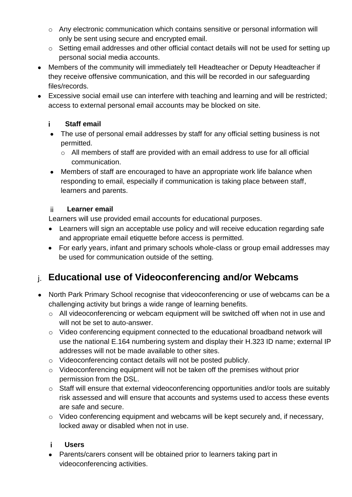- o Any electronic communication which contains sensitive or personal information will only be sent using secure and encrypted email.
- o Setting email addresses and other official contact details will not be used for setting up personal social media accounts.
- Members of the community will immediately tell Headteacher or Deputy Headteacher if they receive offensive communication, and this will be recorded in our safeguarding files/records.
- Excessive social email use can interfere with teaching and learning and will be restricted; access to external personal email accounts may be blocked on site.

#### i. **Staff email**

- The use of personal email addresses by staff for any official setting business is not permitted.
	- o All members of staff are provided with an email address to use for all official communication.
- Members of staff are encouraged to have an appropriate work life balance when responding to email, especially if communication is taking place between staff, learners and parents.

#### ji. **Learner email**

Learners will use provided email accounts for educational purposes.

- Learners will sign an acceptable use policy and will receive education regarding safe and appropriate email etiquette before access is permitted.
- For early years, infant and primary schools whole-class or group email addresses may be used for communication outside of the setting.

### <span id="page-14-0"></span>**Educational use of Videoconferencing and/or Webcams**

- North Park Primary School recognise that videoconferencing or use of webcams can be a challenging activity but brings a wide range of learning benefits.
	- o All videoconferencing or webcam equipment will be switched off when not in use and will not be set to auto-answer.
	- o Video conferencing equipment connected to the educational broadband network will use the national E.164 numbering system and display their H.323 ID name; external IP addresses will not be made available to other sites.
	- o Videoconferencing contact details will not be posted publicly.
	- o Videoconferencing equipment will not be taken off the premises without prior permission from the DSL.
	- o Staff will ensure that external videoconferencing opportunities and/or tools are suitably risk assessed and will ensure that accounts and systems used to access these events are safe and secure.
	- o Video conferencing equipment and webcams will be kept securely and, if necessary, locked away or disabled when not in use.

#### j. **Users**

• Parents/carers consent will be obtained prior to learners taking part in videoconferencing activities.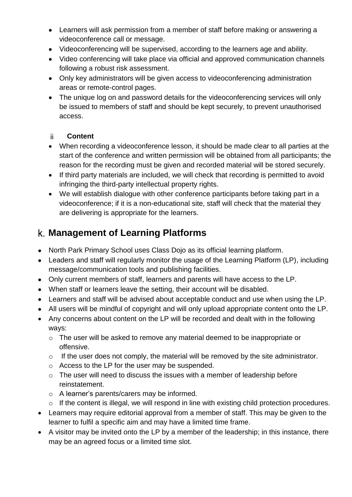- Learners will ask permission from a member of staff before making or answering a videoconference call or message.
- Videoconferencing will be supervised, according to the learners age and ability.
- Video conferencing will take place via official and approved communication channels following a robust risk assessment.
- Only key administrators will be given access to videoconferencing administration areas or remote-control pages.
- The unique log on and password details for the videoconferencing services will only be issued to members of staff and should be kept securely, to prevent unauthorised access.

#### ii. **Content**

- When recording a videoconference lesson, it should be made clear to all parties at the start of the conference and written permission will be obtained from all participants; the reason for the recording must be given and recorded material will be stored securely.
- If third party materials are included, we will check that recording is permitted to avoid infringing the third-party intellectual property rights.
- We will establish dialogue with other conference participants before taking part in a videoconference; if it is a non-educational site, staff will check that the material they are delivering is appropriate for the learners.

#### <span id="page-15-0"></span>**Management of Learning Platforms**

- North Park Primary School uses Class Dojo as its official learning platform.
- Leaders and staff will regularly monitor the usage of the Learning Platform (LP), including message/communication tools and publishing facilities.
- Only current members of staff, learners and parents will have access to the LP.
- When staff or learners leave the setting, their account will be disabled.
- Learners and staff will be advised about acceptable conduct and use when using the LP.
- All users will be mindful of copyright and will only upload appropriate content onto the LP.
- Any concerns about content on the LP will be recorded and dealt with in the following ways:
	- o The user will be asked to remove any material deemed to be inappropriate or offensive.
	- o If the user does not comply, the material will be removed by the site administrator.
	- o Access to the LP for the user may be suspended.
	- $\circ$  The user will need to discuss the issues with a member of leadership before reinstatement.
	- o A learner's parents/carers may be informed.
	- o If the content is illegal, we will respond in line with existing child protection procedures.
- Learners may require editorial approval from a member of staff. This may be given to the learner to fulfil a specific aim and may have a limited time frame.
- A visitor may be invited onto the LP by a member of the leadership; in this instance, there may be an agreed focus or a limited time slot.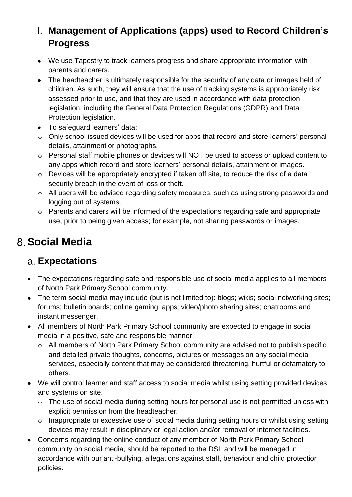### <span id="page-16-0"></span>**Management of Applications (apps) used to Record Children's Progress**

- We use Tapestry to track learners progress and share appropriate information with parents and carers.
- The headteacher is ultimately responsible for the security of any data or images held of children. As such, they will ensure that the use of tracking systems is appropriately risk assessed prior to use, and that they are used in accordance with data protection legislation, including the General Data Protection Regulations (GDPR) and Data Protection legislation.
- To safeguard learners' data:
- o Only school issued devices will be used for apps that record and store learners' personal details, attainment or photographs.
- o Personal staff mobile phones or devices will NOT be used to access or upload content to any apps which record and store learners' personal details, attainment or images.
- o Devices will be appropriately encrypted if taken off site, to reduce the risk of a data security breach in the event of loss or theft.
- o All users will be advised regarding safety measures, such as using strong passwords and logging out of systems.
- o Parents and carers will be informed of the expectations regarding safe and appropriate use, prior to being given access; for example, not sharing passwords or images.

# <span id="page-16-1"></span>**Social Media**

### <span id="page-16-2"></span>**Expectations**

- The expectations regarding safe and responsible use of social media applies to all members of North Park Primary School community.
- The term social media may include (but is not limited to): blogs; wikis; social networking sites; forums; bulletin boards; online gaming; apps; video/photo sharing sites; chatrooms and instant messenger.
- All members of North Park Primary School community are expected to engage in social media in a positive, safe and responsible manner.
	- o All members of North Park Primary School community are advised not to publish specific and detailed private thoughts, concerns, pictures or messages on any social media services, especially content that may be considered threatening, hurtful or defamatory to others.
- We will control learner and staff access to social media whilst using setting provided devices and systems on site.
	- o The use of social media during setting hours for personal use is not permitted unless with explicit permission from the headteacher.
	- o Inappropriate or excessive use of social media during setting hours or whilst using setting devices may result in disciplinary or legal action and/or removal of internet facilities.
- Concerns regarding the online conduct of any member of North Park Primary School community on social media, should be reported to the DSL and will be managed in accordance with our anti-bullying, allegations against staff, behaviour and child protection policies.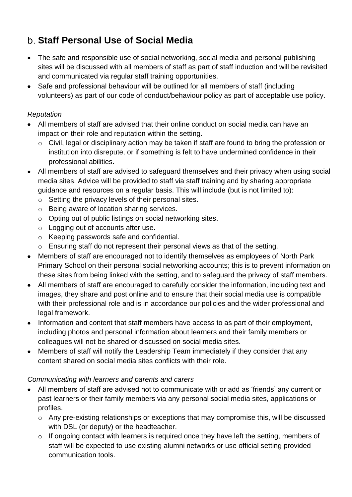### <span id="page-17-0"></span>**Staff Personal Use of Social Media**

- The safe and responsible use of social networking, social media and personal publishing sites will be discussed with all members of staff as part of staff induction and will be revisited and communicated via regular staff training opportunities.
- Safe and professional behaviour will be outlined for all members of staff (including volunteers) as part of our code of conduct/behaviour policy as part of acceptable use policy.

#### *Reputation*

- All members of staff are advised that their online conduct on social media can have an impact on their role and reputation within the setting.
	- o Civil, legal or disciplinary action may be taken if staff are found to bring the profession or institution into disrepute, or if something is felt to have undermined confidence in their professional abilities.
- All members of staff are advised to safeguard themselves and their privacy when using social media sites. Advice will be provided to staff via staff training and by sharing appropriate guidance and resources on a regular basis. This will include (but is not limited to):
	- o Setting the privacy levels of their personal sites.
	- o Being aware of location sharing services.
	- o Opting out of public listings on social networking sites.
	- o Logging out of accounts after use.
	- o Keeping passwords safe and confidential.
	- o Ensuring staff do not represent their personal views as that of the setting.
- Members of staff are encouraged not to identify themselves as employees of North Park Primary School on their personal social networking accounts; this is to prevent information on these sites from being linked with the setting, and to safeguard the privacy of staff members.
- All members of staff are encouraged to carefully consider the information, including text and images, they share and post online and to ensure that their social media use is compatible with their professional role and is in accordance our policies and the wider professional and legal framework.
- Information and content that staff members have access to as part of their employment, including photos and personal information about learners and their family members or colleagues will not be shared or discussed on social media sites.
- Members of staff will notify the Leadership Team immediately if they consider that any content shared on social media sites conflicts with their role.

#### *Communicating with learners and parents and carers*

- All members of staff are advised not to communicate with or add as 'friends' any current or past learners or their family members via any personal social media sites, applications or profiles.
	- o Any pre-existing relationships or exceptions that may compromise this, will be discussed with DSL (or deputy) or the headteacher.
	- o If ongoing contact with learners is required once they have left the setting, members of staff will be expected to use existing alumni networks or use official setting provided communication tools.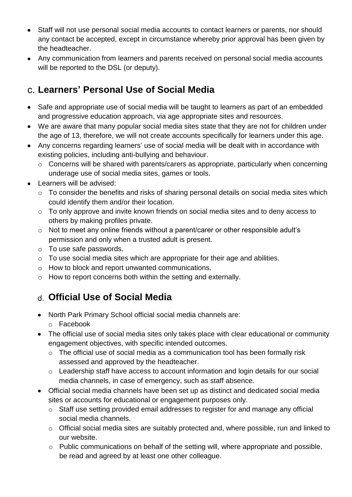- Staff will not use personal social media accounts to contact learners or parents, nor should any contact be accepted, except in circumstance whereby prior approval has been given by the headteacher.
- Any communication from learners and parents received on personal social media accounts will be reported to the DSL (or deputy).

#### <span id="page-18-0"></span>**Learners' Personal Use of Social Media**

- Safe and appropriate use of social media will be taught to learners as part of an embedded and progressive education approach, via age appropriate sites and resources.
- We are aware that many popular social media sites state that they are not for children under the age of 13, therefore, we will not create accounts specifically for learners under this age.
- Any concerns regarding learners' use of social media will be dealt with in accordance with existing policies, including anti-bullying and behaviour.
	- o Concerns will be shared with parents/carers as appropriate, particularly when concerning underage use of social media sites, games or tools.
- Learners will be advised:
	- o To consider the benefits and risks of sharing personal details on social media sites which could identify them and/or their location.
	- o To only approve and invite known friends on social media sites and to deny access to others by making profiles private.
	- o Not to meet any online friends without a parent/carer or other responsible adult's permission and only when a trusted adult is present.
	- o To use safe passwords.
	- o To use social media sites which are appropriate for their age and abilities.
	- o How to block and report unwanted communications.
	- o How to report concerns both within the setting and externally.

#### <span id="page-18-1"></span>**Official Use of Social Media**

- North Park Primary School official social media channels are:
	- o Facebook
- The official use of social media sites only takes place with clear educational or community engagement objectives, with specific intended outcomes.
	- o The official use of social media as a communication tool has been formally risk assessed and approved by the headteacher.
	- o Leadership staff have access to account information and login details for our social media channels, in case of emergency, such as staff absence.
- Official social media channels have been set up as distinct and dedicated social media sites or accounts for educational or engagement purposes only.
	- o Staff use setting provided email addresses to register for and manage any official social media channels.
	- o Official social media sites are suitably protected and, where possible, run and linked to our website.
	- o Public communications on behalf of the setting will, where appropriate and possible, be read and agreed by at least one other colleague.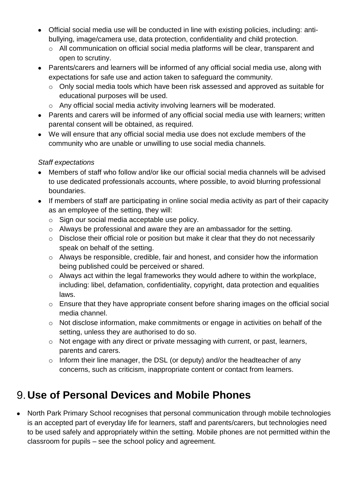- Official social media use will be conducted in line with existing policies, including: antibullying, image/camera use, data protection, confidentiality and child protection.
	- o All communication on official social media platforms will be clear, transparent and open to scrutiny.
- Parents/carers and learners will be informed of any official social media use, along with expectations for safe use and action taken to safeguard the community.
	- o Only social media tools which have been risk assessed and approved as suitable for educational purposes will be used.
	- o Any official social media activity involving learners will be moderated.
- Parents and carers will be informed of any official social media use with learners; written parental consent will be obtained, as required.
- We will ensure that any official social media use does not exclude members of the community who are unable or unwilling to use social media channels.

#### *Staff expectations*

- Members of staff who follow and/or like our official social media channels will be advised to use dedicated professionals accounts, where possible, to avoid blurring professional boundaries.
- If members of staff are participating in online social media activity as part of their capacity as an employee of the setting, they will:
	- o Sign our social media acceptable use policy.
	- o Always be professional and aware they are an ambassador for the setting.
	- o Disclose their official role or position but make it clear that they do not necessarily speak on behalf of the setting.
	- o Always be responsible, credible, fair and honest, and consider how the information being published could be perceived or shared.
	- o Always act within the legal frameworks they would adhere to within the workplace, including: libel, defamation, confidentiality, copyright, data protection and equalities laws.
	- o Ensure that they have appropriate consent before sharing images on the official social media channel.
	- o Not disclose information, make commitments or engage in activities on behalf of the setting, unless they are authorised to do so.
	- o Not engage with any direct or private messaging with current, or past, learners, parents and carers.
	- $\circ$  Inform their line manager, the DSL (or deputy) and/or the headteacher of any concerns, such as criticism, inappropriate content or contact from learners.

## <span id="page-19-0"></span>**Use of Personal Devices and Mobile Phones**

• North Park Primary School recognises that personal communication through mobile technologies is an accepted part of everyday life for learners, staff and parents/carers, but technologies need to be used safely and appropriately within the setting. Mobile phones are not permitted within the classroom for pupils – see the school policy and agreement.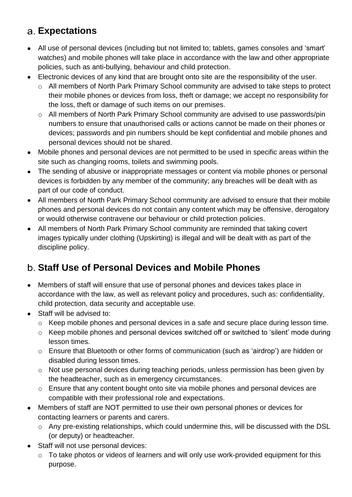## <span id="page-20-0"></span>**Expectations**

- All use of personal devices (including but not limited to; tablets, games consoles and 'smart' watches) and mobile phones will take place in accordance with the law and other appropriate policies, such as anti-bullying, behaviour and child protection.
- Electronic devices of any kind that are brought onto site are the responsibility of the user.
	- o All members of North Park Primary School community are advised to take steps to protect their mobile phones or devices from loss, theft or damage; we accept no responsibility for the loss, theft or damage of such items on our premises.
	- o All members of North Park Primary School community are advised to use passwords/pin numbers to ensure that unauthorised calls or actions cannot be made on their phones or devices; passwords and pin numbers should be kept confidential and mobile phones and personal devices should not be shared.
- Mobile phones and personal devices are not permitted to be used in specific areas within the site such as changing rooms, toilets and swimming pools.
- The sending of abusive or inappropriate messages or content via mobile phones or personal devices is forbidden by any member of the community; any breaches will be dealt with as part of our code of conduct.
- All members of North Park Primary School community are advised to ensure that their mobile phones and personal devices do not contain any content which may be offensive, derogatory or would otherwise contravene our behaviour or child protection policies.
- All members of North Park Primary School community are reminded that taking covert images typically under clothing (Upskirting) is illegal and will be dealt with as part of the discipline policy.

### <span id="page-20-1"></span>**Staff Use of Personal Devices and Mobile Phones**

- Members of staff will ensure that use of personal phones and devices takes place in accordance with the law, as well as relevant policy and procedures, such as: confidentiality, child protection, data security and acceptable use.
- Staff will be advised to:
	- $\circ$  Keep mobile phones and personal devices in a safe and secure place during lesson time.
	- o Keep mobile phones and personal devices switched off or switched to 'silent' mode during lesson times.
	- o Ensure that Bluetooth or other forms of communication (such as 'airdrop') are hidden or disabled during lesson times.
	- o Not use personal devices during teaching periods, unless permission has been given by the headteacher, such as in emergency circumstances.
	- o Ensure that any content bought onto site via mobile phones and personal devices are compatible with their professional role and expectations.
- Members of staff are NOT permitted to use their own personal phones or devices for contacting learners or parents and carers.
	- o Any pre-existing relationships, which could undermine this, will be discussed with the DSL (or deputy) or headteacher.
- Staff will not use personal devices:
	- o To take photos or videos of learners and will only use work-provided equipment for this purpose.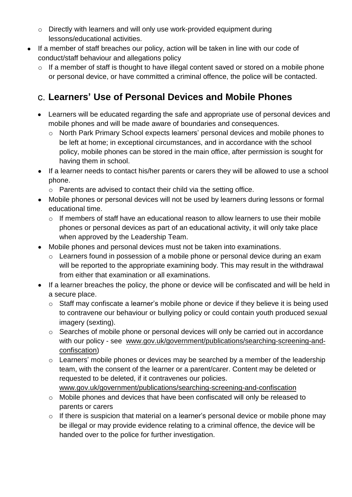- o Directly with learners and will only use work-provided equipment during lessons/educational activities.
- If a member of staff breaches our policy, action will be taken in line with our code of conduct/staff behaviour and allegations policy
	- o If a member of staff is thought to have illegal content saved or stored on a mobile phone or personal device, or have committed a criminal offence, the police will be contacted.

#### <span id="page-21-0"></span>**Learners' Use of Personal Devices and Mobile Phones**

- Learners will be educated regarding the safe and appropriate use of personal devices and mobile phones and will be made aware of boundaries and consequences.
	- o North Park Primary School expects learners' personal devices and mobile phones to be left at home; in exceptional circumstances, and in accordance with the school policy, mobile phones can be stored in the main office, after permission is sought for having them in school.
- If a learner needs to contact his/her parents or carers they will be allowed to use a school phone.
	- o Parents are advised to contact their child via the setting office.
- Mobile phones or personal devices will not be used by learners during lessons or formal educational time.
	- o If members of staff have an educational reason to allow learners to use their mobile phones or personal devices as part of an educational activity, it will only take place when approved by the Leadership Team.
- Mobile phones and personal devices must not be taken into examinations.
	- o Learners found in possession of a mobile phone or personal device during an exam will be reported to the appropriate examining body. This may result in the withdrawal from either that examination or all examinations.
- If a learner breaches the policy, the phone or device will be confiscated and will be held in a secure place.
	- o Staff may confiscate a learner's mobile phone or device if they believe it is being used to contravene our behaviour or bullying policy or could contain youth produced sexual imagery (sexting).
	- o Searches of mobile phone or personal devices will only be carried out in accordance with our policy - see [www.gov.uk/government/publications/searching-screening-and](http://www.gov.uk/government/publications/searching-screening-and-confiscation)[confiscation\)](http://www.gov.uk/government/publications/searching-screening-and-confiscation)
	- $\circ$  Learners' mobile phones or devices may be searched by a member of the leadership team, with the consent of the learner or a parent/carer. Content may be deleted or requested to be deleted, if it contravenes our policies. [www.gov.uk/government/publications/searching-screening-and-confiscation](http://www.gov.uk/government/publications/searching-screening-and-confiscation)
	- o Mobile phones and devices that have been confiscated will only be released to parents or carers
	- o If there is suspicion that material on a learner's personal device or mobile phone may be illegal or may provide evidence relating to a criminal offence, the device will be handed over to the police for further investigation.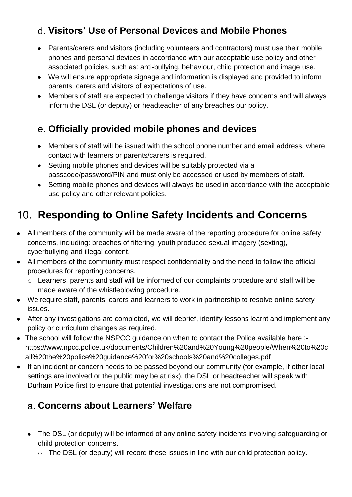## <span id="page-22-0"></span>**Visitors' Use of Personal Devices and Mobile Phones**

- Parents/carers and visitors (including volunteers and contractors) must use their mobile phones and personal devices in accordance with our acceptable use policy and other associated policies, such as: anti-bullying, behaviour, child protection and image use.
- We will ensure appropriate signage and information is displayed and provided to inform parents, carers and visitors of expectations of use.
- Members of staff are expected to challenge visitors if they have concerns and will always inform the DSL (or deputy) or headteacher of any breaches our policy.

#### <span id="page-22-1"></span>**Officially provided mobile phones and devices**

- Members of staff will be issued with the school phone number and email address, where contact with learners or parents/carers is required.
- Setting mobile phones and devices will be suitably protected via a passcode/password/PIN and must only be accessed or used by members of staff.
- Setting mobile phones and devices will always be used in accordance with the acceptable use policy and other relevant policies.

# <span id="page-22-2"></span>**Responding to Online Safety Incidents and Concerns**

- All members of the community will be made aware of the reporting procedure for online safety concerns, including: breaches of filtering, youth produced sexual imagery (sexting), cyberbullying and illegal content.
- All members of the community must respect confidentiality and the need to follow the official procedures for reporting concerns.
	- o Learners, parents and staff will be informed of our complaints procedure and staff will be made aware of the whistleblowing procedure.
- We require staff, parents, carers and learners to work in partnership to resolve online safety issues.
- After any investigations are completed, we will debrief, identify lessons learnt and implement any policy or curriculum changes as required.
- The school will follow the NSPCC quidance on when to contact the Police available here :[https://www.npcc.police.uk/documents/Children%20and%20Young%20people/When%20to%20c](https://www.npcc.police.uk/documents/Children%20and%20Young%20people/When%20to%20call%20the%20police%20guidance%20for%20schools%20and%20colleges.pdf) [all%20the%20police%20guidance%20for%20schools%20and%20colleges.pdf](https://www.npcc.police.uk/documents/Children%20and%20Young%20people/When%20to%20call%20the%20police%20guidance%20for%20schools%20and%20colleges.pdf)
- If an incident or concern needs to be passed beyond our community (for example, if other local settings are involved or the public may be at risk), the DSL or headteacher will speak with Durham Police first to ensure that potential investigations are not compromised.

#### <span id="page-22-3"></span>**Concerns about Learners' Welfare**

- The DSL (or deputy) will be informed of any online safety incidents involving safeguarding or child protection concerns.
	- o The DSL (or deputy) will record these issues in line with our child protection policy.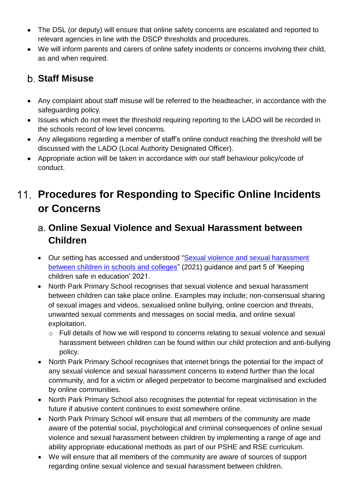- The DSL (or deputy) will ensure that online safety concerns are escalated and reported to relevant agencies in line with the DSCP thresholds and procedures.
- We will inform parents and carers of online safety incidents or concerns involving their child, as and when required.

### <span id="page-23-0"></span>**Staff Misuse**

- Any complaint about staff misuse will be referred to the headteacher, in accordance with the safeguarding policy.
- Issues which do not meet the threshold requiring reporting to the LADO will be recorded in the schools record of low level concerns.
- Any allegations regarding a member of staff's online conduct reaching the threshold will be discussed with the LADO (Local Authority Designated Officer).
- Appropriate action will be taken in accordance with our staff behaviour policy/code of conduct.

## <span id="page-23-1"></span>**Procedures for Responding to Specific Online Incidents or Concerns**

#### <span id="page-23-2"></span>**Online Sexual Violence and Sexual Harassment between Children**

- Our setting has accessed and understood "Sexual violence and sexual harassment [between children in schools and colleges"](https://www.gov.uk/government/publications/sexual-violence-and-sexual-harassment-between-children-in-schools-and-colleges) (2021) guidance and part 5 of 'Keeping children safe in education' 2021.
- North Park Primary School recognises that sexual violence and sexual harassment between children can take place online. Examples may include; non-consensual sharing of sexual images and videos, sexualised online bullying, online coercion and threats, unwanted sexual comments and messages on social media, and online sexual exploitation.
	- o Full details of how we will respond to concerns relating to sexual violence and sexual harassment between children can be found within our child protection and anti-bullying policy.
- North Park Primary School recognises that internet brings the potential for the impact of any sexual violence and sexual harassment concerns to extend further than the local community, and for a victim or alleged perpetrator to become marginalised and excluded by online communities.
- North Park Primary School also recognises the potential for repeat victimisation in the future if abusive content continues to exist somewhere online.
- North Park Primary School will ensure that all members of the community are made aware of the potential social, psychological and criminal consequences of online sexual violence and sexual harassment between children by implementing a range of age and ability appropriate educational methods as part of our PSHE and RSE curriculum.
- We will ensure that all members of the community are aware of sources of support regarding online sexual violence and sexual harassment between children.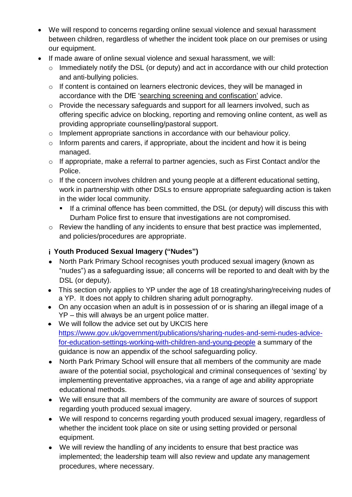- We will respond to concerns regarding online sexual violence and sexual harassment between children, regardless of whether the incident took place on our premises or using our equipment.
- If made aware of online sexual violence and sexual harassment, we will:
	- o Immediately notify the DSL (or deputy) and act in accordance with our child protection and anti-bullying policies.
	- o If content is contained on learners electronic devices, they will be managed in accordance with the DfE ['searching screening and confiscation'](https://www.gov.uk/government/publications/searching-screening-and-confiscation) advice.
	- o Provide the necessary safeguards and support for all learners involved, such as offering specific advice on blocking, reporting and removing online content, as well as providing appropriate counselling/pastoral support.
	- o Implement appropriate sanctions in accordance with our behaviour policy.
	- $\circ$  Inform parents and carers, if appropriate, about the incident and how it is being managed.
	- o If appropriate, make a referral to partner agencies, such as First Contact and/or the Police.
	- $\circ$  If the concern involves children and young people at a different educational setting, work in partnership with other DSLs to ensure appropriate safeguarding action is taken in the wider local community.
		- **E** If a criminal offence has been committed, the DSL (or deputy) will discuss this with Durham Police first to ensure that investigations are not compromised.
	- o Review the handling of any incidents to ensure that best practice was implemented, and policies/procedures are appropriate.

#### **Youth Produced Sexual Imagery ("Nudes")**

- North Park Primary School recognises youth produced sexual imagery (known as "nudes") as a safeguarding issue; all concerns will be reported to and dealt with by the DSL (or deputy).
- This section only applies to YP under the age of 18 creating/sharing/receiving nudes of a YP. It does not apply to children sharing adult pornography.
- On any occasion when an adult is in possession of or is sharing an illegal image of a YP – this will always be an urgent police matter.
- We will follow the advice set out by UKCIS here [https://www.gov.uk/government/publications/sharing-nudes-and-semi-nudes-advice](https://www.gov.uk/government/publications/sharing-nudes-and-semi-nudes-advice-for-education-settings-working-with-children-and-young-people)[for-education-settings-working-with-children-and-young-people](https://www.gov.uk/government/publications/sharing-nudes-and-semi-nudes-advice-for-education-settings-working-with-children-and-young-people) a summary of the guidance is now an appendix of the school safeguarding policy.
- North Park Primary School will ensure that all members of the community are made aware of the potential social, psychological and criminal consequences of 'sexting' by implementing preventative approaches, via a range of age and ability appropriate educational methods.
- We will ensure that all members of the community are aware of sources of support regarding youth produced sexual imagery.
- We will respond to concerns regarding youth produced sexual imagery, regardless of whether the incident took place on site or using setting provided or personal equipment.
- We will review the handling of any incidents to ensure that best practice was implemented; the leadership team will also review and update any management procedures, where necessary.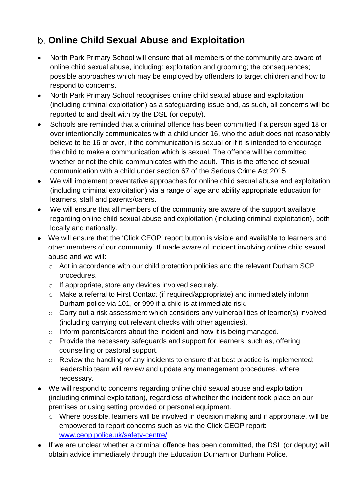## <span id="page-25-0"></span>**Online Child Sexual Abuse and Exploitation**

- North Park Primary School will ensure that all members of the community are aware of online child sexual abuse, including: exploitation and grooming; the consequences; possible approaches which may be employed by offenders to target children and how to respond to concerns.
- North Park Primary School recognises online child sexual abuse and exploitation (including criminal exploitation) as a safeguarding issue and, as such, all concerns will be reported to and dealt with by the DSL (or deputy).
- Schools are reminded that a criminal offence has been committed if a person aged 18 or over intentionally communicates with a child under 16, who the adult does not reasonably believe to be 16 or over, if the communication is sexual or if it is intended to encourage the child to make a communication which is sexual. The offence will be committed whether or not the child communicates with the adult. This is the offence of sexual communication with a child under section 67 of the Serious Crime Act 2015
- We will implement preventative approaches for online child sexual abuse and exploitation (including criminal exploitation) via a range of age and ability appropriate education for learners, staff and parents/carers.
- We will ensure that all members of the community are aware of the support available regarding online child sexual abuse and exploitation (including criminal exploitation), both locally and nationally.
- We will ensure that the 'Click CEOP' report button is visible and available to learners and other members of our community. If made aware of incident involving online child sexual abuse and we will:
	- o Act in accordance with our child protection policies and the relevant Durham SCP procedures.
	- o If appropriate, store any devices involved securely.
	- o Make a referral to First Contact (if required/appropriate) and immediately inform Durham police via 101, or 999 if a child is at immediate risk.
	- o Carry out a risk assessment which considers any vulnerabilities of learner(s) involved (including carrying out relevant checks with other agencies).
	- o Inform parents/carers about the incident and how it is being managed.
	- o Provide the necessary safeguards and support for learners, such as, offering counselling or pastoral support.
	- o Review the handling of any incidents to ensure that best practice is implemented; leadership team will review and update any management procedures, where necessary.
- We will respond to concerns regarding online child sexual abuse and exploitation (including criminal exploitation), regardless of whether the incident took place on our premises or using setting provided or personal equipment.
	- o Where possible, learners will be involved in decision making and if appropriate, will be empowered to report concerns such as via the Click CEOP report: [www.ceop.police.uk/safety-centre/](http://www.ceop.police.uk/safety-centre/)
- If we are unclear whether a criminal offence has been committed, the DSL (or deputy) will obtain advice immediately through the Education Durham or Durham Police.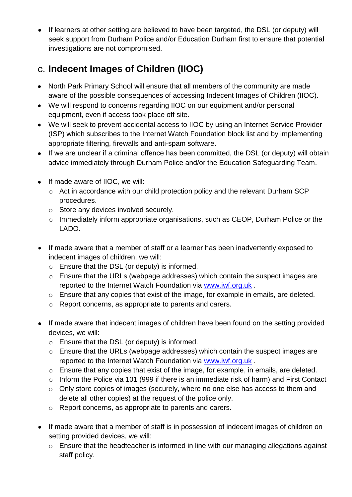• If learners at other setting are believed to have been targeted, the DSL (or deputy) will seek support from Durham Police and/or Education Durham first to ensure that potential investigations are not compromised.

### <span id="page-26-0"></span>**Indecent Images of Children (IIOC)**

- North Park Primary School will ensure that all members of the community are made aware of the possible consequences of accessing Indecent Images of Children (IIOC).
- We will respond to concerns regarding IIOC on our equipment and/or personal equipment, even if access took place off site.
- We will seek to prevent accidental access to IIOC by using an Internet Service Provider (ISP) which subscribes to the Internet Watch Foundation block list and by implementing appropriate filtering, firewalls and anti-spam software.
- If we are unclear if a criminal offence has been committed, the DSL (or deputy) will obtain advice immediately through Durham Police and/or the Education Safeguarding Team.
- If made aware of IIOC, we will:
	- o Act in accordance with our child protection policy and the relevant Durham SCP procedures.
	- o Store any devices involved securely.
	- o Immediately inform appropriate organisations, such as CEOP, Durham Police or the LADO.
- If made aware that a member of staff or a learner has been inadvertently exposed to indecent images of children, we will:
	- o Ensure that the DSL (or deputy) is informed.
	- o Ensure that the URLs (webpage addresses) which contain the suspect images are reported to the Internet Watch Foundation via [www.iwf.org.uk](https://www.iwf.org.uk/) .
	- o Ensure that any copies that exist of the image, for example in emails, are deleted.
	- o Report concerns, as appropriate to parents and carers.
- If made aware that indecent images of children have been found on the setting provided devices, we will:
	- o Ensure that the DSL (or deputy) is informed.
	- o Ensure that the URLs (webpage addresses) which contain the suspect images are reported to the Internet Watch Foundation via [www.iwf.org.uk](https://www.iwf.org.uk/) .
	- o Ensure that any copies that exist of the image, for example, in emails, are deleted.
	- o Inform the Police via 101 (999 if there is an immediate risk of harm) and First Contact
	- o Only store copies of images (securely, where no one else has access to them and delete all other copies) at the request of the police only.
	- o Report concerns, as appropriate to parents and carers.
- If made aware that a member of staff is in possession of indecent images of children on setting provided devices, we will:
	- o Ensure that the headteacher is informed in line with our managing allegations against staff policy.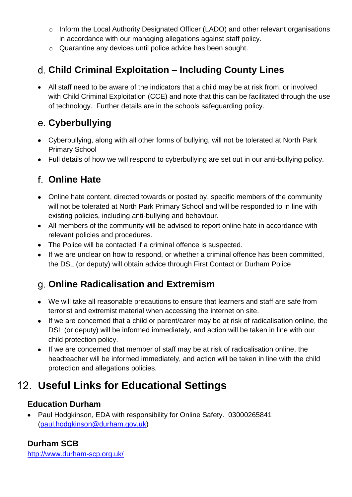- o Inform the Local Authority Designated Officer (LADO) and other relevant organisations in accordance with our managing allegations against staff policy.
- o Quarantine any devices until police advice has been sought.

## <span id="page-27-0"></span>**Child Criminal Exploitation – Including County Lines**

• All staff need to be aware of the indicators that a child may be at risk from, or involved with Child Criminal Exploitation (CCE) and note that this can be facilitated through the use of technology. Further details are in the schools safeguarding policy.

#### **Cyberbullying**

- Cyberbullying, along with all other forms of bullying, will not be tolerated at North Park Primary School
- Full details of how we will respond to cyberbullying are set out in our anti-bullying policy.

## <span id="page-27-1"></span>**Online Hate**

- Online hate content, directed towards or posted by, specific members of the community will not be tolerated at North Park Primary School and will be responded to in line with existing policies, including anti-bullying and behaviour.
- All members of the community will be advised to report online hate in accordance with relevant policies and procedures.
- The Police will be contacted if a criminal offence is suspected.
- If we are unclear on how to respond, or whether a criminal offence has been committed, the DSL (or deputy) will obtain advice through First Contact or Durham Police

### <span id="page-27-2"></span>**Online Radicalisation and Extremism**

- We will take all reasonable precautions to ensure that learners and staff are safe from terrorist and extremist material when accessing the internet on site.
- If we are concerned that a child or parent/carer may be at risk of radicalisation online, the DSL (or deputy) will be informed immediately, and action will be taken in line with our child protection policy.
- If we are concerned that member of staff may be at risk of radicalisation online, the headteacher will be informed immediately, and action will be taken in line with the child protection and allegations policies.

## <span id="page-27-3"></span>**Useful Links for Educational Settings**

#### **Education Durham**

• Paul Hodgkinson, EDA with responsibility for Online Safety. 03000265841 [\(paul.hodgkinson@durham.gov.uk\)](mailto:paul.hodgkinson@durham.gov.uk)

#### **Durham SCB**

http://www.durham-scp.org.uk/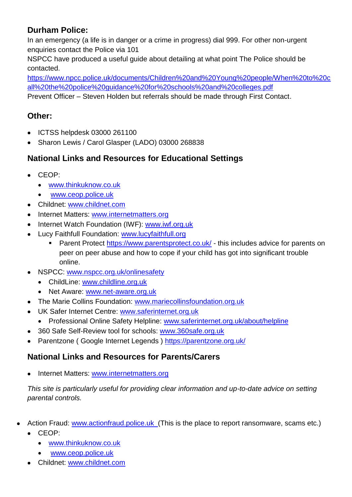#### **Durham Police:**

In an emergency (a life is in danger or a crime in progress) dial 999. For other non-urgent enquiries contact the Police via 101

NSPCC have produced a useful guide about detailing at what point The Police should be contacted.

[https://www.npcc.police.uk/documents/Children%20and%20Young%20people/When%20to%20c](https://www.npcc.police.uk/documents/Children%20and%20Young%20people/When%20to%20call%20the%20police%20guidance%20for%20schools%20and%20colleges.pdf) [all%20the%20police%20guidance%20for%20schools%20and%20colleges.pdf](https://www.npcc.police.uk/documents/Children%20and%20Young%20people/When%20to%20call%20the%20police%20guidance%20for%20schools%20and%20colleges.pdf)

Prevent Officer – Steven Holden but referrals should be made through First Contact.

#### **Other:**

- ICTSS helpdesk 03000 261100
- Sharon Lewis / Carol Glasper (LADO) 03000 268838

#### **National Links and Resources for Educational Settings**

- CEOP:
	- [www.thinkuknow.co.uk](http://www.thinkuknow.co.uk/)
	- [www.ceop.police.uk](http://www.ceop.police.uk/)
- Childnet: [www.childnet.com](http://www.childnet.com/)
- Internet Matters: [www.internetmatters.org](http://www.internetmatters.org/)
- Internet Watch Foundation (IWF): [www.iwf.org.uk](http://www.iwf.org.uk/)
- Lucy Faithfull Foundation: [www.lucyfaithfull.org](http://www.lucyfaithfull.org/)
	- Parent Protect<https://www.parentsprotect.co.uk/> this includes advice for parents on peer on peer abuse and how to cope if your child has got into significant trouble online.
- NSPCC: [www.nspcc.org.uk/onlinesafety](http://www.nspcc.org.uk/onlinesafety)
	- ChildLine: [www.childline.org.uk](http://www.childline.org.uk/)
	- Net Aware: [www.net-aware.org.uk](http://www.net-aware.org.uk/)
- The Marie Collins Foundation: [www.mariecollinsfoundation.org.uk](http://www.mariecollinsfoundation.org.uk/)
- UK Safer Internet Centre: [www.saferinternet.org.uk](http://www.saferinternet.org.uk/)
	- Professional Online Safety Helpline: [www.saferinternet.org.uk/about/helpline](http://www.saferinternet.org.uk/about/helpline)
- 360 Safe Self-Review tool for schools: [www.360safe.org.uk](http://www.360safe.org.uk/)
- Parentzone ( Google Internet Legends )<https://parentzone.org.uk/>

#### **National Links and Resources for Parents/Carers**

Internet Matters: [www.internetmatters.org](http://www.internetmatters.org/)

*This site is particularly useful for providing clear information and up-to-date advice on setting parental controls.*

- Action Fraud: [www.actionfraud.police.uk](http://www.actionfraud.police.uk/) (This is the place to report ransomware, scams etc.)
	- CEOP:
		- [www.thinkuknow.co.uk](http://www.thinkuknow.co.uk/)
		- [www.ceop.police.uk](http://www.ceop.police.uk/)
	- Childnet: [www.childnet.com](http://www.childnet.com/)